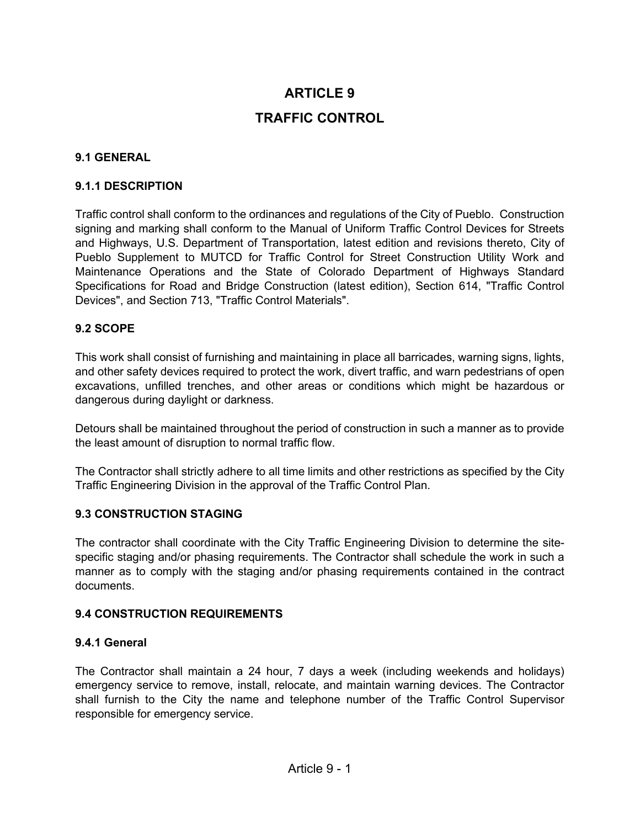# **ARTICLE 9 TRAFFIC CONTROL**

#### **9.1 GENERAL**

#### **9.1.1 DESCRIPTION**

Traffic control shall conform to the ordinances and regulations of the City of Pueblo. Construction signing and marking shall conform to the Manual of Uniform Traffic Control Devices for Streets and Highways, U.S. Department of Transportation, latest edition and revisions thereto, City of Pueblo Supplement to MUTCD for Traffic Control for Street Construction Utility Work and Maintenance Operations and the State of Colorado Department of Highways Standard Specifications for Road and Bridge Construction (latest edition), Section 614, "Traffic Control Devices", and Section 713, "Traffic Control Materials".

#### **9.2 SCOPE**

This work shall consist of furnishing and maintaining in place all barricades, warning signs, lights, and other safety devices required to protect the work, divert traffic, and warn pedestrians of open excavations, unfilled trenches, and other areas or conditions which might be hazardous or dangerous during daylight or darkness.

Detours shall be maintained throughout the period of construction in such a manner as to provide the least amount of disruption to normal traffic flow.

The Contractor shall strictly adhere to all time limits and other restrictions as specified by the City Traffic Engineering Division in the approval of the Traffic Control Plan.

#### **9.3 CONSTRUCTION STAGING**

The contractor shall coordinate with the City Traffic Engineering Division to determine the sitespecific staging and/or phasing requirements. The Contractor shall schedule the work in such a manner as to comply with the staging and/or phasing requirements contained in the contract documents.

#### **9.4 CONSTRUCTION REQUIREMENTS**

#### **9.4.1 General**

The Contractor shall maintain a 24 hour, 7 days a week (including weekends and holidays) emergency service to remove, install, relocate, and maintain warning devices. The Contractor shall furnish to the City the name and telephone number of the Traffic Control Supervisor responsible for emergency service.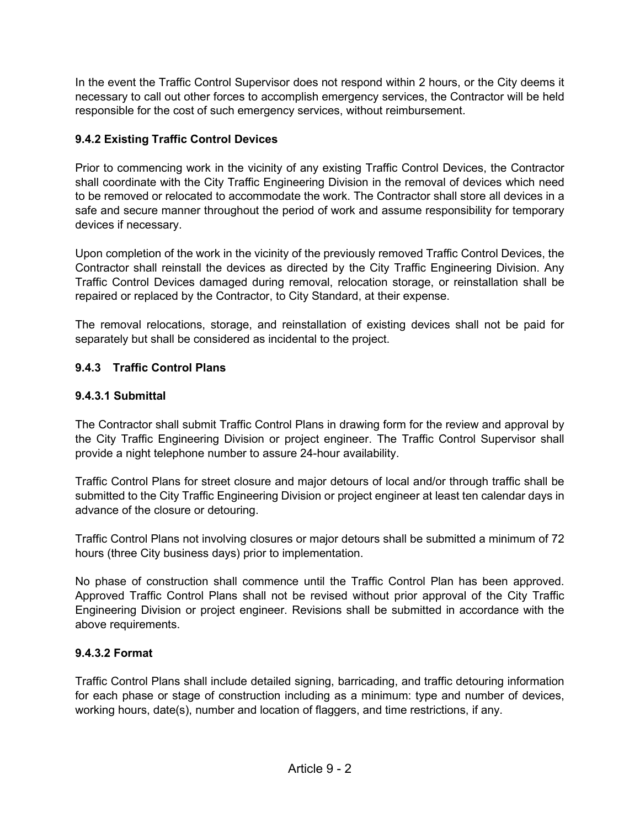In the event the Traffic Control Supervisor does not respond within 2 hours, or the City deems it necessary to call out other forces to accomplish emergency services, the Contractor will be held responsible for the cost of such emergency services, without reimbursement.

# **9.4.2 Existing Traffic Control Devices**

Prior to commencing work in the vicinity of any existing Traffic Control Devices, the Contractor shall coordinate with the City Traffic Engineering Division in the removal of devices which need to be removed or relocated to accommodate the work. The Contractor shall store all devices in a safe and secure manner throughout the period of work and assume responsibility for temporary devices if necessary.

Upon completion of the work in the vicinity of the previously removed Traffic Control Devices, the Contractor shall reinstall the devices as directed by the City Traffic Engineering Division. Any Traffic Control Devices damaged during removal, relocation storage, or reinstallation shall be repaired or replaced by the Contractor, to City Standard, at their expense.

The removal relocations, storage, and reinstallation of existing devices shall not be paid for separately but shall be considered as incidental to the project.

# **9.4.3 Traffic Control Plans**

# **9.4.3.1 Submittal**

The Contractor shall submit Traffic Control Plans in drawing form for the review and approval by the City Traffic Engineering Division or project engineer. The Traffic Control Supervisor shall provide a night telephone number to assure 24-hour availability.

Traffic Control Plans for street closure and major detours of local and/or through traffic shall be submitted to the City Traffic Engineering Division or project engineer at least ten calendar days in advance of the closure or detouring.

Traffic Control Plans not involving closures or major detours shall be submitted a minimum of 72 hours (three City business days) prior to implementation.

No phase of construction shall commence until the Traffic Control Plan has been approved. Approved Traffic Control Plans shall not be revised without prior approval of the City Traffic Engineering Division or project engineer. Revisions shall be submitted in accordance with the above requirements.

# **9.4.3.2 Format**

Traffic Control Plans shall include detailed signing, barricading, and traffic detouring information for each phase or stage of construction including as a minimum: type and number of devices, working hours, date(s), number and location of flaggers, and time restrictions, if any.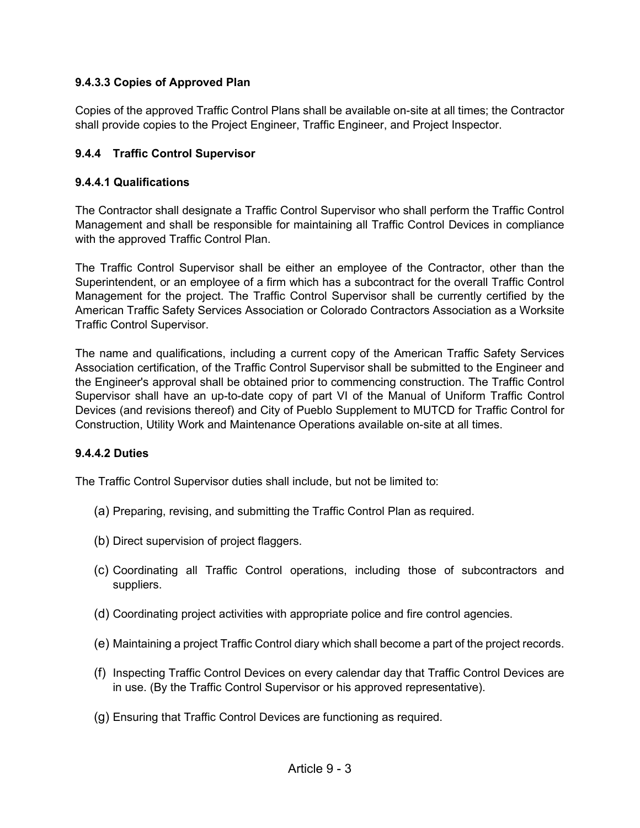## **9.4.3.3 Copies of Approved Plan**

Copies of the approved Traffic Control Plans shall be available on-site at all times; the Contractor shall provide copies to the Project Engineer, Traffic Engineer, and Project Inspector.

## **9.4.4 Traffic Control Supervisor**

### **9.4.4.1 Qualifications**

The Contractor shall designate a Traffic Control Supervisor who shall perform the Traffic Control Management and shall be responsible for maintaining all Traffic Control Devices in compliance with the approved Traffic Control Plan.

The Traffic Control Supervisor shall be either an employee of the Contractor, other than the Superintendent, or an employee of a firm which has a subcontract for the overall Traffic Control Management for the project. The Traffic Control Supervisor shall be currently certified by the American Traffic Safety Services Association or Colorado Contractors Association as a Worksite Traffic Control Supervisor.

The name and qualifications, including a current copy of the American Traffic Safety Services Association certification, of the Traffic Control Supervisor shall be submitted to the Engineer and the Engineer's approval shall be obtained prior to commencing construction. The Traffic Control Supervisor shall have an up-to-date copy of part VI of the Manual of Uniform Traffic Control Devices (and revisions thereof) and City of Pueblo Supplement to MUTCD for Traffic Control for Construction, Utility Work and Maintenance Operations available on-site at all times.

### **9.4.4.2 Duties**

The Traffic Control Supervisor duties shall include, but not be limited to:

- (a) Preparing, revising, and submitting the Traffic Control Plan as required.
- (b) Direct supervision of project flaggers.
- (c) Coordinating all Traffic Control operations, including those of subcontractors and suppliers.
- (d) Coordinating project activities with appropriate police and fire control agencies.
- (e) Maintaining a project Traffic Control diary which shall become a part of the project records.
- (f) Inspecting Traffic Control Devices on every calendar day that Traffic Control Devices are in use. (By the Traffic Control Supervisor or his approved representative).
- (g) Ensuring that Traffic Control Devices are functioning as required.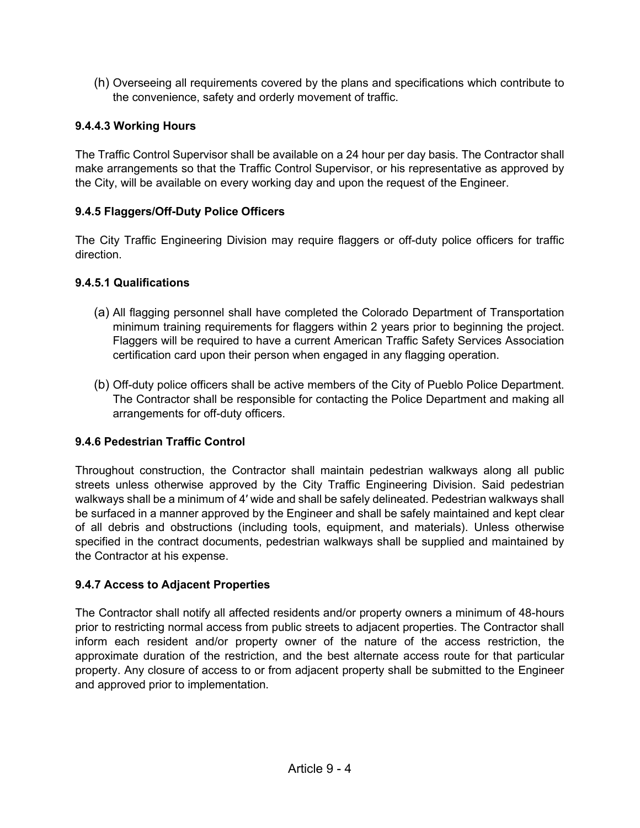(h) Overseeing all requirements covered by the plans and specifications which contribute to the convenience, safety and orderly movement of traffic.

## **9.4.4.3 Working Hours**

The Traffic Control Supervisor shall be available on a 24 hour per day basis. The Contractor shall make arrangements so that the Traffic Control Supervisor, or his representative as approved by the City, will be available on every working day and upon the request of the Engineer.

## **9.4.5 Flaggers/Off-Duty Police Officers**

The City Traffic Engineering Division may require flaggers or off-duty police officers for traffic direction.

### **9.4.5.1 Qualifications**

- (a) All flagging personnel shall have completed the Colorado Department of Transportation minimum training requirements for flaggers within 2 years prior to beginning the project. Flaggers will be required to have a current American Traffic Safety Services Association certification card upon their person when engaged in any flagging operation.
- (b) Off-duty police officers shall be active members of the City of Pueblo Police Department. The Contractor shall be responsible for contacting the Police Department and making all arrangements for off-duty officers.

# **9.4.6 Pedestrian Traffic Control**

Throughout construction, the Contractor shall maintain pedestrian walkways along all public streets unless otherwise approved by the City Traffic Engineering Division. Said pedestrian walkways shall be a minimum of 4′ wide and shall be safely delineated. Pedestrian walkways shall be surfaced in a manner approved by the Engineer and shall be safely maintained and kept clear of all debris and obstructions (including tools, equipment, and materials). Unless otherwise specified in the contract documents, pedestrian walkways shall be supplied and maintained by the Contractor at his expense.

### **9.4.7 Access to Adjacent Properties**

The Contractor shall notify all affected residents and/or property owners a minimum of 48-hours prior to restricting normal access from public streets to adjacent properties. The Contractor shall inform each resident and/or property owner of the nature of the access restriction, the approximate duration of the restriction, and the best alternate access route for that particular property. Any closure of access to or from adjacent property shall be submitted to the Engineer and approved prior to implementation.